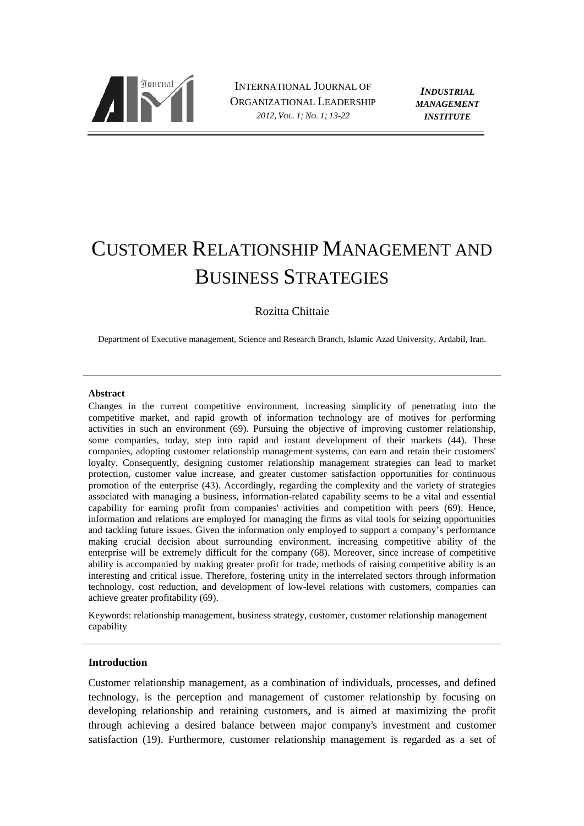

I INTERNATIONAL JOURNAL OF O ORGANIZATIONAL LEADERSHIP *2012, VOL. 1; NO. 1; 13-22*

*INDUSTRIAL MANAGEMENT INSTITUTE*

# CUSTOMER RELATIONSHIP MANAGEMENT AND BUSINESS USINESS STRATEGIES

Rozitta Chittaie

Department of Executive management, Science and Research Branch, Islamic Azad University, Ardabil, Iran.

### **Abstract**

Changes in the current competitive environment, increasing simplicity of penetrating into the competitive market, and rapid growth of information technology are of motives for performing activities in such an environment (69). Pursuing the objective of improving customer relationship, some companies, today, step into rapid and instant development of their markets (44). These companies, adopting customer relationship management systems, can earn and loyalty. Consequently, designing customer relationship management strategies can lead to market protection, customer value increase, and greater customer satisfaction opportunities for continuous promotion of the enterprise (43). Accordingly, regarding the complexity and the variety of strategies associated with managing a business, information-related capability seems to be a vital and essential capability for earning profit from companies' activities and competition with peers (69). Hence, capability for earning profit from companies' activities and competition with peers (69). Hence, information and relations are employed for managing the firms as vital tools for seizing opportunities and tackling future issues. Given the information only employed to support a company's performance making crucial decision about surrounding environment, increasing competitive ability of the enterprise will be extremely difficult for the company (68). Moreover, since increase of competitive ability is accompanied by making greater profit for trade, methods of raising competitive ability is an interesting and critical issue. Therefore, fostering unity in the interrelated sectors through information technology, cost reduction, and development of low-level relations with customers, companies can achieve greater profitability (69). the current competitive environment, increasing simplicity of penetrating into the market, and rapid growth of information technology are of motives for performing such an environment (69). Pursuing the objective of improv stomer relationship management strategies can lead to market<br>and greater customer satisfaction opportunities for continuous<br>cordingly, regarding the complexity and the variety of strategies<br>i, information-related capabilit for terprise will be extremely difficult for the company (68). Moreover, since increase of competitive ility is accompanied by making greater profit for trade, methods of raising competitive ability is an eresting and crit CONDITENTION CONTROLL INTERFERICATION CONTROLL INTERFERICAN CONTROLL INTERFERICAN CONTROLL INTERFERICATION CONTROLL INTERFERICATION CONTROLL INTERFERICATION CONTROLL INTERFERICATION CONTROLL INTERFERICATION CONTROLL INTERF

Keywords: relationship management, business strategy, customer, customer relationship management capability

## **Introduction**

Customer relationship management, as a combination of individuals, processes, and defined technology, is the perception and management of customer relationship by focusing on developing relationship and retaining customers, and is aimed at maximizing the profit through achieving a desired balance between major company's investment and customer satisfaction (19). Furthermore, customer relationship management is regarded as a set of Keywords: relationship management, business strategy, customer, customer relationship manageme<br>
capability<br> **Introduction**<br>
Customer relationship management, as a combination of individuals, processes, and def<br>
technology, level relations with customers, companies can<br>
customer, customer relationship management<br>
ation of individuals, processes, and defined<br>
of customer relationship by focusing on<br>
s, and is aimed at maximizing the profit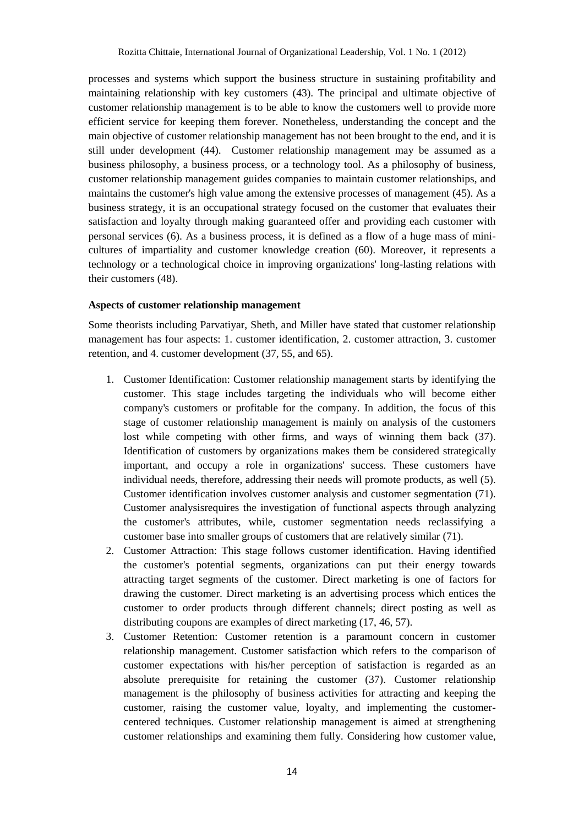processes and systems which support the business structure in sustaining profitability and maintaining relationship with key customers (43). The principal and ultimate objective of customer relationship management is to be able to know the customers well to provide more efficient service for keeping them forever. Nonetheless, understanding the concept and the main objective of customer relationship management has not been brought to the end, and it is still under development (44). Customer relationship management may be assumed as a business philosophy, a business process, or a technology tool. As a philosophy of business, customer relationship management guides companies to maintain customer relationships, and maintains the customer's high value among the extensive processes of management (45). As a business strategy, it is an occupational strategy focused on the customer that evaluates their satisfaction and loyalty through making guaranteed offer and providing each customer with personal services (6). As a business process, it is defined as a flow of a huge mass of minicultures of impartiality and customer knowledge creation (60). Moreover, it represents a technology or a technological choice in improving organizations' long-lasting relations with their customers (48).

# **Aspects of customer relationship management**

Some theorists including Parvatiyar, Sheth, and Miller have stated that customer relationship management has four aspects: 1. customer identification, 2. customer attraction, 3. customer retention, and 4. customer development (37, 55, and 65).

- 1. Customer Identification: Customer relationship management starts by identifying the customer. This stage includes targeting the individuals who will become either company's customers or profitable for the company. In addition, the focus of this stage of customer relationship management is mainly on analysis of the customers lost while competing with other firms, and ways of winning them back (37). Identification of customers by organizations makes them be considered strategically important, and occupy a role in organizations' success. These customers have individual needs, therefore, addressing their needs will promote products, as well (5). Customer identification involves customer analysis and customer segmentation (71). Customer analysisrequires the investigation of functional aspects through analyzing the customer's attributes, while, customer segmentation needs reclassifying a customer base into smaller groups of customers that are relatively similar (71).
- 2. Customer Attraction: This stage follows customer identification. Having identified the customer's potential segments, organizations can put their energy towards attracting target segments of the customer. Direct marketing is one of factors for drawing the customer. Direct marketing is an advertising process which entices the customer to order products through different channels; direct posting as well as distributing coupons are examples of direct marketing (17, 46, 57).
- 3. Customer Retention: Customer retention is a paramount concern in customer relationship management. Customer satisfaction which refers to the comparison of customer expectations with his/her perception of satisfaction is regarded as an absolute prerequisite for retaining the customer (37). Customer relationship management is the philosophy of business activities for attracting and keeping the customer, raising the customer value, loyalty, and implementing the customercentered techniques. Customer relationship management is aimed at strengthening customer relationships and examining them fully. Considering how customer value,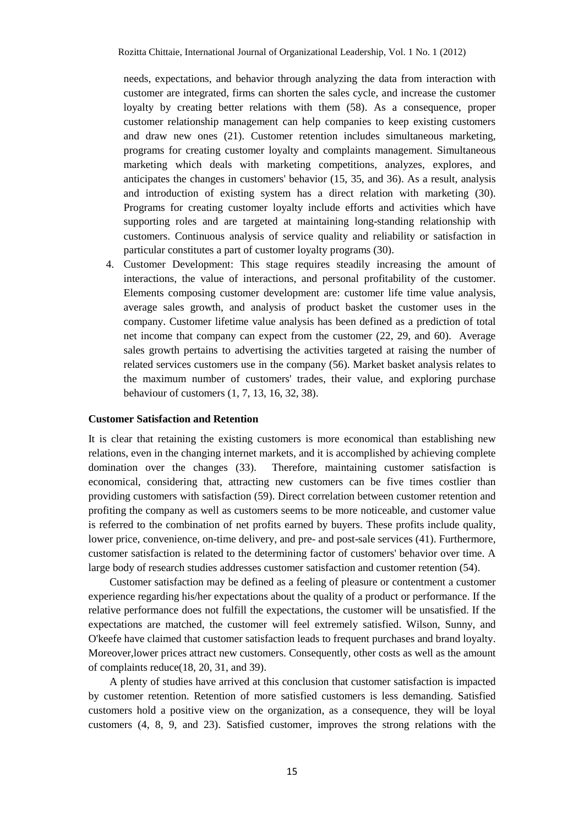needs, expectations, and behavior through analyzing the data from interaction with customer are integrated, firms can shorten the sales cycle, and increase the customer loyalty by creating better relations with them (58). As a consequence, proper customer relationship management can help companies to keep existing customers and draw new ones (21). Customer retention includes simultaneous marketing, programs for creating customer loyalty and complaints management. Simultaneous marketing which deals with marketing competitions, analyzes, explores, and anticipates the changes in customers' behavior (15, 35, and 36). As a result, analysis and introduction of existing system has a direct relation with marketing (30). Programs for creating customer loyalty include efforts and activities which have supporting roles and are targeted at maintaining long-standing relationship with customers. Continuous analysis of service quality and reliability or satisfaction in particular constitutes a part of customer loyalty programs (30).

4. Customer Development: This stage requires steadily increasing the amount of interactions, the value of interactions, and personal profitability of the customer. Elements composing customer development are: customer life time value analysis, average sales growth, and analysis of product basket the customer uses in the company. Customer lifetime value analysis has been defined as a prediction of total net income that company can expect from the customer (22, 29, and 60). Average sales growth pertains to advertising the activities targeted at raising the number of related services customers use in the company (56). Market basket analysis relates to the maximum number of customers' trades, their value, and exploring purchase behaviour of customers (1, 7, 13, 16, 32, 38).

## **Customer Satisfaction and Retention**

It is clear that retaining the existing customers is more economical than establishing new relations, even in the changing internet markets, and it is accomplished by achieving complete domination over the changes (33). Therefore, maintaining customer satisfaction is economical, considering that, attracting new customers can be five times costlier than providing customers with satisfaction (59). Direct correlation between customer retention and profiting the company as well as customers seems to be more noticeable, and customer value is referred to the combination of net profits earned by buyers. These profits include quality, lower price, convenience, on-time delivery, and pre- and post-sale services (41). Furthermore, customer satisfaction is related to the determining factor of customers' behavior over time. A large body of research studies addresses customer satisfaction and customer retention (54).

Customer satisfaction may be defined as a feeling of pleasure or contentment a customer experience regarding his/her expectations about the quality of a product or performance. If the relative performance does not fulfill the expectations, the customer will be unsatisfied. If the expectations are matched, the customer will feel extremely satisfied. Wilson, Sunny, and O'keefe have claimed that customer satisfaction leads to frequent purchases and brand loyalty. Moreover,lower prices attract new customers. Consequently, other costs as well as the amount of complaints reduce(18, 20, 31, and 39).

A plenty of studies have arrived at this conclusion that customer satisfaction is impacted by customer retention. Retention of more satisfied customers is less demanding. Satisfied customers hold a positive view on the organization, as a consequence, they will be loyal customers (4, 8, 9, and 23). Satisfied customer, improves the strong relations with the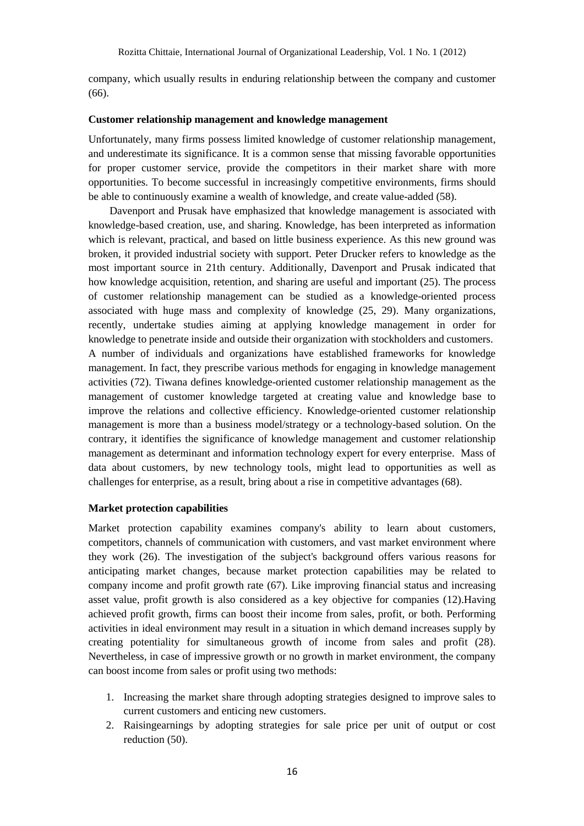company, which usually results in enduring relationship between the company and customer (66).

## **Customer relationship management and knowledge management**

Unfortunately, many firms possess limited knowledge of customer relationship management, and underestimate its significance. It is a common sense that missing favorable opportunities for proper customer service, provide the competitors in their market share with more opportunities. To become successful in increasingly competitive environments, firms should be able to continuously examine a wealth of knowledge, and create value-added (58).

Davenport and Prusak have emphasized that knowledge management is associated with knowledge-based creation, use, and sharing. Knowledge, has been interpreted as information which is relevant, practical, and based on little business experience. As this new ground was broken, it provided industrial society with support. Peter Drucker refers to knowledge as the most important source in 21th century. Additionally, Davenport and Prusak indicated that how knowledge acquisition, retention, and sharing are useful and important (25). The process of customer relationship management can be studied as a knowledge-oriented process associated with huge mass and complexity of knowledge (25, 29). Many organizations, recently, undertake studies aiming at applying knowledge management in order for knowledge to penetrate inside and outside their organization with stockholders and customers. A number of individuals and organizations have established frameworks for knowledge management. In fact, they prescribe various methods for engaging in knowledge management activities (72). Tiwana defines knowledge-oriented customer relationship management as the management of customer knowledge targeted at creating value and knowledge base to improve the relations and collective efficiency. Knowledge-oriented customer relationship management is more than a business model/strategy or a technology-based solution. On the contrary, it identifies the significance of knowledge management and customer relationship management as determinant and information technology expert for every enterprise. Mass of data about customers, by new technology tools, might lead to opportunities as well as challenges for enterprise, as a result, bring about a rise in competitive advantages (68).

# **Market protection capabilities**

Market protection capability examines company's ability to learn about customers, competitors, channels of communication with customers, and vast market environment where they work (26). The investigation of the subject's background offers various reasons for anticipating market changes, because market protection capabilities may be related to company income and profit growth rate (67). Like improving financial status and increasing asset value, profit growth is also considered as a key objective for companies (12).Having achieved profit growth, firms can boost their income from sales, profit, or both. Performing activities in ideal environment may result in a situation in which demand increases supply by creating potentiality for simultaneous growth of income from sales and profit (28). Nevertheless, in case of impressive growth or no growth in market environment, the company can boost income from sales or profit using two methods:

- 1. Increasing the market share through adopting strategies designed to improve sales to current customers and enticing new customers.
- 2. Raisingearnings by adopting strategies for sale price per unit of output or cost reduction (50).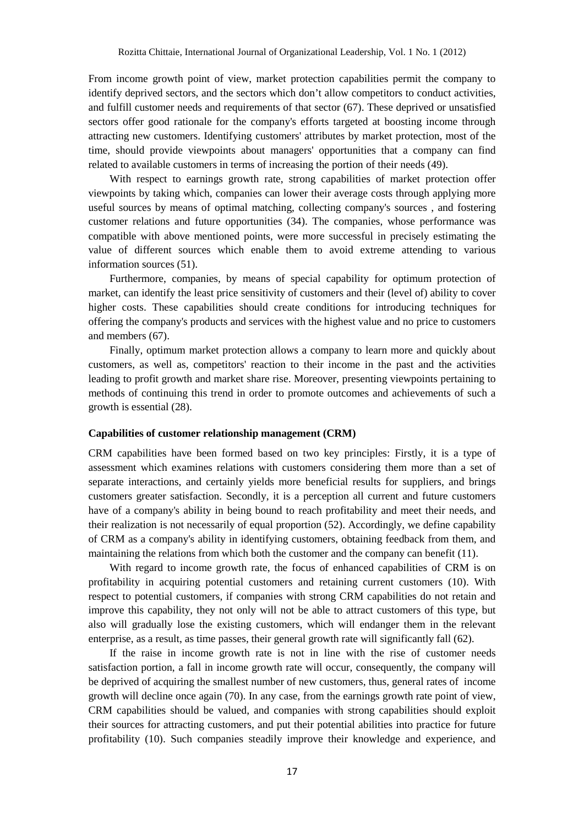From income growth point of view, market protection capabilities permit the company to identify deprived sectors, and the sectors which don't allow competitors to conduct activities, and fulfill customer needs and requirements of that sector (67). These deprived or unsatisfied sectors offer good rationale for the company's efforts targeted at boosting income through attracting new customers. Identifying customers' attributes by market protection, most of the time, should provide viewpoints about managers' opportunities that a company can find related to available customers in terms of increasing the portion of their needs (49).

With respect to earnings growth rate, strong capabilities of market protection offer viewpoints by taking which, companies can lower their average costs through applying more useful sources by means of optimal matching, collecting company's sources , and fostering customer relations and future opportunities (34). The companies, whose performance was compatible with above mentioned points, were more successful in precisely estimating the value of different sources which enable them to avoid extreme attending to various information sources (51).

Furthermore, companies, by means of special capability for optimum protection of market, can identify the least price sensitivity of customers and their (level of) ability to cover higher costs. These capabilities should create conditions for introducing techniques for offering the company's products and services with the highest value and no price to customers and members (67).

Finally, optimum market protection allows a company to learn more and quickly about customers, as well as, competitors' reaction to their income in the past and the activities leading to profit growth and market share rise. Moreover, presenting viewpoints pertaining to methods of continuing this trend in order to promote outcomes and achievements of such a growth is essential (28).

#### **Capabilities of customer relationship management (CRM)**

CRM capabilities have been formed based on two key principles: Firstly, it is a type of assessment which examines relations with customers considering them more than a set of separate interactions, and certainly yields more beneficial results for suppliers, and brings customers greater satisfaction. Secondly, it is a perception all current and future customers have of a company's ability in being bound to reach profitability and meet their needs, and their realization is not necessarily of equal proportion (52). Accordingly, we define capability of CRM as a company's ability in identifying customers, obtaining feedback from them, and maintaining the relations from which both the customer and the company can benefit (11).

With regard to income growth rate, the focus of enhanced capabilities of CRM is on profitability in acquiring potential customers and retaining current customers (10). With respect to potential customers, if companies with strong CRM capabilities do not retain and improve this capability, they not only will not be able to attract customers of this type, but also will gradually lose the existing customers, which will endanger them in the relevant enterprise, as a result, as time passes, their general growth rate will significantly fall (62).

If the raise in income growth rate is not in line with the rise of customer needs satisfaction portion, a fall in income growth rate will occur, consequently, the company will be deprived of acquiring the smallest number of new customers, thus, general rates of income growth will decline once again (70). In any case, from the earnings growth rate point of view, CRM capabilities should be valued, and companies with strong capabilities should exploit their sources for attracting customers, and put their potential abilities into practice for future profitability (10). Such companies steadily improve their knowledge and experience, and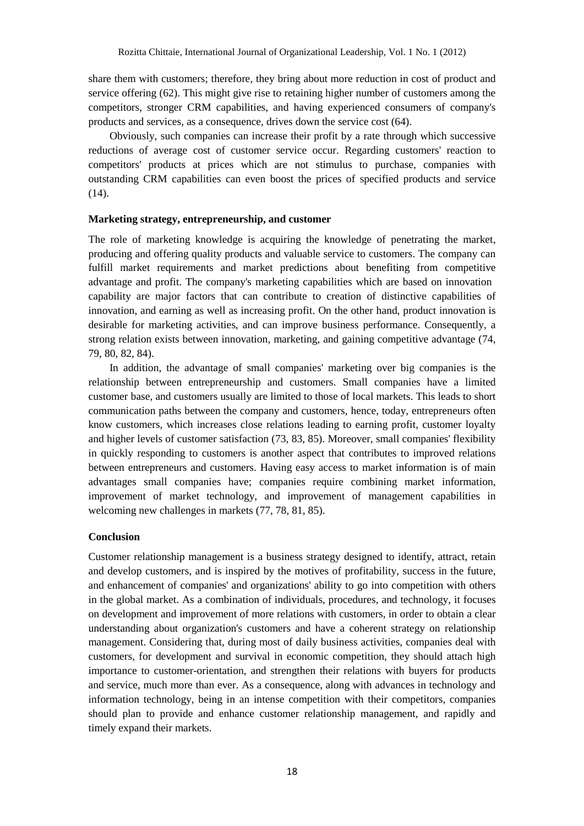share them with customers; therefore, they bring about more reduction in cost of product and service offering (62). This might give rise to retaining higher number of customers among the competitors, stronger CRM capabilities, and having experienced consumers of company's products and services, as a consequence, drives down the service cost (64).

Obviously, such companies can increase their profit by a rate through which successive reductions of average cost of customer service occur. Regarding customers' reaction to competitors' products at prices which are not stimulus to purchase, companies with outstanding CRM capabilities can even boost the prices of specified products and service  $(14)$ .

# **Marketing strategy, entrepreneurship, and customer**

The role of marketing knowledge is acquiring the knowledge of penetrating the market, producing and offering quality products and valuable service to customers. The company can fulfill market requirements and market predictions about benefiting from competitive advantage and profit. The company's marketing capabilities which are based on innovation capability are major factors that can contribute to creation of distinctive capabilities of innovation, and earning as well as increasing profit. On the other hand, product innovation is desirable for marketing activities, and can improve business performance. Consequently, a strong relation exists between innovation, marketing, and gaining competitive advantage (74, 79, 80, 82, 84).

In addition, the advantage of small companies' marketing over big companies is the relationship between entrepreneurship and customers. Small companies have a limited customer base, and customers usually are limited to those of local markets. This leads to short communication paths between the company and customers, hence, today, entrepreneurs often know customers, which increases close relations leading to earning profit, customer loyalty and higher levels of customer satisfaction (73, 83, 85). Moreover, small companies' flexibility in quickly responding to customers is another aspect that contributes to improved relations between entrepreneurs and customers. Having easy access to market information is of main advantages small companies have; companies require combining market information, improvement of market technology, and improvement of management capabilities in welcoming new challenges in markets (77, 78, 81, 85).

## **Conclusion**

Customer relationship management is a business strategy designed to identify, attract, retain and develop customers, and is inspired by the motives of profitability, success in the future, and enhancement of companies' and organizations' ability to go into competition with others in the global market. As a combination of individuals, procedures, and technology, it focuses on development and improvement of more relations with customers, in order to obtain a clear understanding about organization's customers and have a coherent strategy on relationship management. Considering that, during most of daily business activities, companies deal with customers, for development and survival in economic competition, they should attach high importance to customer-orientation, and strengthen their relations with buyers for products and service, much more than ever. As a consequence, along with advances in technology and information technology, being in an intense competition with their competitors, companies should plan to provide and enhance customer relationship management, and rapidly and timely expand their markets.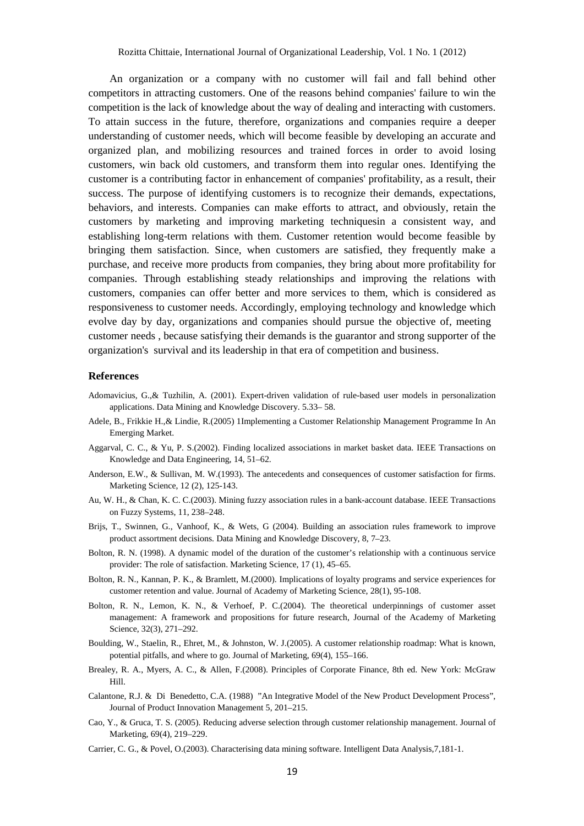An organization or a company with no customer will fail and fall behind other competitors in attracting customers. One of the reasons behind companies' failure to win the competition is the lack of knowledge about the way of dealing and interacting with customers. To attain success in the future, therefore, organizations and companies require a deeper understanding of customer needs, which will become feasible by developing an accurate and organized plan, and mobilizing resources and trained forces in order to avoid losing customers, win back old customers, and transform them into regular ones. Identifying the customer is a contributing factor in enhancement of companies' profitability, as a result, their success. The purpose of identifying customers is to recognize their demands, expectations, behaviors, and interests. Companies can make efforts to attract, and obviously, retain the customers by marketing and improving marketing techniquesin a consistent way, and establishing long-term relations with them. Customer retention would become feasible by bringing them satisfaction. Since, when customers are satisfied, they frequently make a purchase, and receive more products from companies, they bring about more profitability for companies. Through establishing steady relationships and improving the relations with customers, companies can offer better and more services to them, which is considered as responsiveness to customer needs. Accordingly, employing technology and knowledge which evolve day by day, organizations and companies should pursue the objective of, meeting customer needs , because satisfying their demands is the guarantor and strong supporter of the organization's survival and its leadership in that era of competition and business.

#### **References**

- Adomavicius, G.,& Tuzhilin, A. (2001). Expert-driven validation of rule-based user models in personalization applications. Data Mining and Knowledge Discovery. 5.33– 58.
- Adele, B., Frikkie H.,& Lindie, R.(2005) 1Implementing a Customer Relationship Management Programme In An Emerging Market.
- Aggarval, C. C., & Yu, P. S.(2002). Finding localized associations in market basket data. IEEE Transactions on Knowledge and Data Engineering, 14, 51–62.
- Anderson, E.W., & Sullivan, M. W.(1993). The antecedents and consequences of customer satisfaction for firms. Marketing Science, 12 (2), 125-143.
- Au, W. H., & Chan, K. C. C.(2003). Mining fuzzy association rules in a bank-account database. IEEE Transactions on Fuzzy Systems, 11, 238–248.
- Brijs, T., Swinnen, G., Vanhoof, K., & Wets, G (2004). Building an association rules framework to improve product assortment decisions. Data Mining and Knowledge Discovery, 8, 7–23.
- Bolton, R. N. (1998). A dynamic model of the duration of the customer's relationship with a continuous service provider: The role of satisfaction. Marketing Science, 17 (1), 45–65.
- Bolton, R. N., Kannan, P. K., & Bramlett, M.(2000). Implications of loyalty programs and service experiences for customer retention and value. Journal of Academy of Marketing Science, 28(1), 95-108.
- Bolton, R. N., Lemon, K. N., & Verhoef, P. C.(2004). The theoretical underpinnings of customer asset management: A framework and propositions for future research, Journal of the Academy of Marketing Science, 32(3), 271–292.
- Boulding, W., Staelin, R., Ehret, M., & Johnston, W. J.(2005). A customer relationship roadmap: What is known, potential pitfalls, and where to go. Journal of Marketing, 69(4), 155–166.
- Brealey, R. A., Myers, A. C., & Allen, F.(2008). Principles of Corporate Finance, 8th ed. New York: McGraw Hill.
- Calantone, R.J. & Di Benedetto, C.A. (1988) "An Integrative Model of the New Product Development Process", Journal of Product Innovation Management 5, 201–215.
- Cao, Y., & Gruca, T. S. (2005). Reducing adverse selection through customer relationship management. Journal of Marketing, 69(4), 219–229.
- Carrier, C. G., & Povel, O.(2003). Characterising data mining software. Intelligent Data Analysis,7,181-1.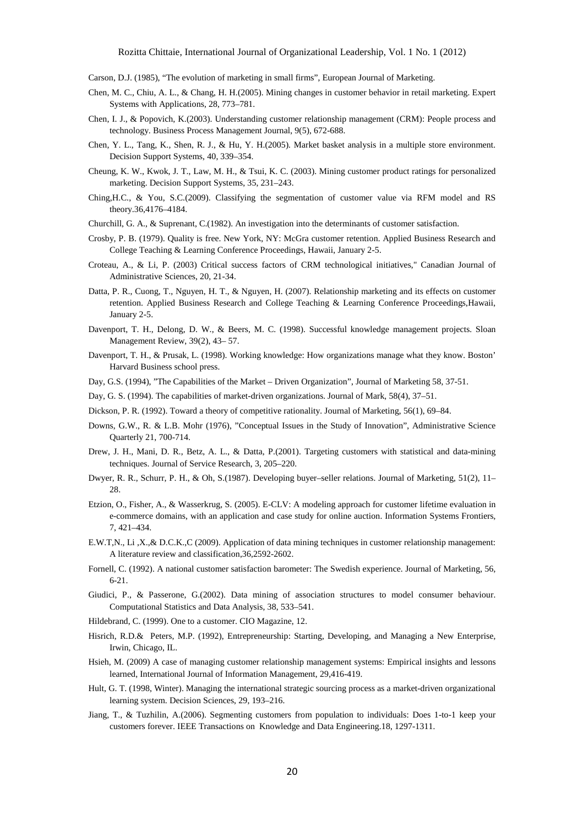Carson, D.J. (1985), "The evolution of marketing in small firms", European Journal of Marketing.

- Chen, M. C., Chiu, A. L., & Chang, H. H.(2005). Mining changes in customer behavior in retail marketing. Expert Systems with Applications, 28, 773–781.
- Chen, I. J., & Popovich, K.(2003). Understanding customer relationship management (CRM): People process and technology. Business Process Management Journal, 9(5), 672-688.
- Chen, Y. L., Tang, K., Shen, R. J., & Hu, Y. H.(2005). Market basket analysis in a multiple store environment. Decision Support Systems, 40, 339–354.
- Cheung, K. W., Kwok, J. T., Law, M. H., & Tsui, K. C. (2003). Mining customer product ratings for personalized marketing. Decision Support Systems, 35, 231–243.
- Ching,H.C., & You, S.C.(2009). Classifying the segmentation of customer value via RFM model and RS theory.36,4176–4184.
- Churchill, G. A., & Suprenant, C.(1982). An investigation into the determinants of customer satisfaction.
- Crosby, P. B. (1979). Quality is free. New York, NY: McGra customer retention. Applied Business Research and College Teaching & Learning Conference Proceedings, Hawaii, January 2-5.
- Croteau, A., & Li, P. (2003) Critical success factors of CRM technological initiatives," Canadian Journal of Administrative Sciences, 20, 21-34.
- Datta, P. R., Cuong, T., Nguyen, H. T., & Nguyen, H. (2007). Relationship marketing and its effects on customer retention. Applied Business Research and College Teaching & Learning Conference Proceedings,Hawaii, January 2-5.
- Davenport, T. H., Delong, D. W., & Beers, M. C. (1998). Successful knowledge management projects. Sloan Management Review, 39(2), 43– 57.
- Davenport, T. H., & Prusak, L. (1998). Working knowledge: How organizations manage what they know. Boston' Harvard Business school press.
- Day, G.S. (1994), "The Capabilities of the Market Driven Organization", Journal of Marketing 58, 37-51.
- Day, G. S. (1994). The capabilities of market-driven organizations. Journal of Mark, 58(4), 37–51.
- Dickson, P. R. (1992). Toward a theory of competitive rationality. Journal of Marketing, 56(1), 69–84.
- Downs, G.W., R. & L.B. Mohr (1976), "Conceptual Issues in the Study of Innovation", Administrative Science Quarterly 21, 700-714.
- Drew, J. H., Mani, D. R., Betz, A. L., & Datta, P.(2001). Targeting customers with statistical and data-mining techniques. Journal of Service Research, 3, 205–220.
- Dwyer, R. R., Schurr, P. H., & Oh, S.(1987). Developing buyer–seller relations. Journal of Marketing, 51(2), 11– 28.
- Etzion, O., Fisher, A., & Wasserkrug, S. (2005). E-CLV: A modeling approach for customer lifetime evaluation in e-commerce domains, with an application and case study for online auction. Information Systems Frontiers, 7, 421–434.
- E.W.T,N., Li ,X.,& D.C.K.,C (2009). Application of data mining techniques in customer relationship management: A literature review and classification,36,2592-2602.
- Fornell, C. (1992). A national customer satisfaction barometer: The Swedish experience. Journal of Marketing, 56, 6-21.
- Giudici, P., & Passerone, G.(2002). Data mining of association structures to model consumer behaviour. Computational Statistics and Data Analysis, 38, 533–541.
- Hildebrand, C. (1999). One to a customer. CIO Magazine, 12.
- Hisrich, R.D.& Peters, M.P. (1992), Entrepreneurship: Starting, Developing, and Managing a New Enterprise, Irwin, Chicago, IL.
- Hsieh, M. (2009) A case of managing customer relationship management systems: Empirical insights and lessons learned, International Journal of Information Management, 29,416-419.
- Hult, G. T. (1998, Winter). Managing the international strategic sourcing process as a market-driven organizational learning system. Decision Sciences, 29, 193–216.
- Jiang, T., & Tuzhilin, A.(2006). Segmenting customers from population to individuals: Does 1-to-1 keep your customers forever. IEEE Transactions on Knowledge and Data Engineering.18, 1297-1311.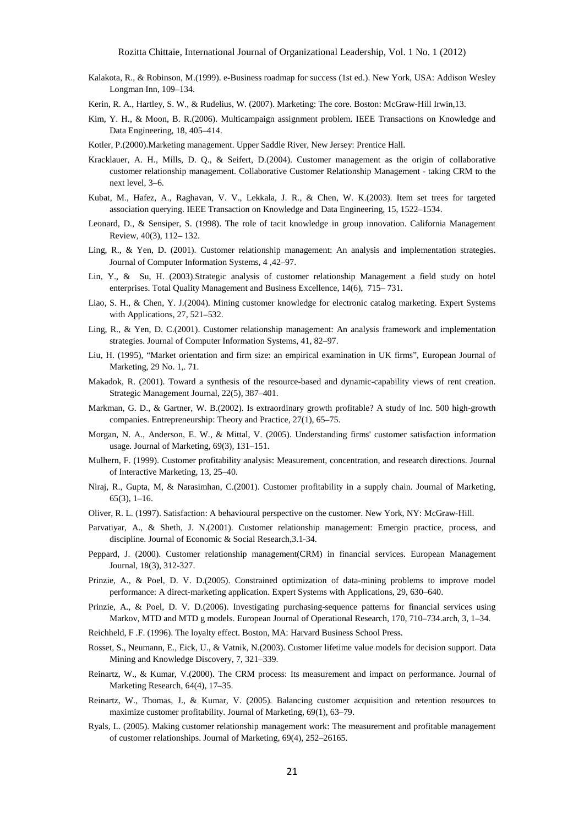- Kalakota, R., & Robinson, M.(1999). e-Business roadmap for success (1st ed.). New York, USA: Addison Wesley Longman Inn, 109–134.
- Kerin, R. A., Hartley, S. W., & Rudelius, W. (2007). Marketing: The core. Boston: McGraw-Hill Irwin,13.
- Kim, Y. H., & Moon, B. R.(2006). Multicampaign assignment problem. IEEE Transactions on Knowledge and Data Engineering, 18, 405–414.
- Kotler, P.(2000).Marketing management. Upper Saddle River, New Jersey: Prentice Hall.
- Kracklauer, A. H., Mills, D. Q., & Seifert, D.(2004). Customer management as the origin of collaborative customer relationship management. Collaborative Customer Relationship Management - taking CRM to the next level, 3–6.
- Kubat, M., Hafez, A., Raghavan, V. V., Lekkala, J. R., & Chen, W. K.(2003). Item set trees for targeted association querying. IEEE Transaction on Knowledge and Data Engineering, 15, 1522–1534.
- Leonard, D., & Sensiper, S. (1998). The role of tacit knowledge in group innovation. California Management Review, 40(3), 112– 132.
- Ling, R., & Yen, D. (2001). Customer relationship management: An analysis and implementation strategies. Journal of Computer Information Systems, 4 ,42–97.
- Lin, Y., & Su, H. (2003).Strategic analysis of customer relationship Management a field study on hotel enterprises. Total Quality Management and Business Excellence, 14(6), 715– 731.
- Liao, S. H., & Chen, Y. J.(2004). Mining customer knowledge for electronic catalog marketing. Expert Systems with Applications, 27, 521–532.
- Ling, R., & Yen, D. C.(2001). Customer relationship management: An analysis framework and implementation strategies. Journal of Computer Information Systems, 41, 82–97.
- Liu, H. (1995), "Market orientation and firm size: an empirical examination in UK firms", European Journal of Marketing, 29 No. 1,. 71.
- Makadok, R. (2001). Toward a synthesis of the resource-based and dynamic-capability views of rent creation. Strategic Management Journal, 22(5), 387–401.
- Markman, G. D., & Gartner, W. B.(2002). Is extraordinary growth profitable? A study of Inc. 500 high-growth companies. Entrepreneurship: Theory and Practice, 27(1), 65–75.
- Morgan, N. A., Anderson, E. W., & Mittal, V. (2005). Understanding firms' customer satisfaction information usage. Journal of Marketing, 69(3), 131–151.
- Mulhern, F. (1999). Customer profitability analysis: Measurement, concentration, and research directions. Journal of Interactive Marketing, 13, 25–40.
- Niraj, R., Gupta, M, & Narasimhan, C.(2001). Customer profitability in a supply chain. Journal of Marketing, 65(3), 1–16.
- Oliver, R. L. (1997). Satisfaction: A behavioural perspective on the customer. New York, NY: McGraw-Hill.
- Parvatiyar, A., & Sheth, J. N.(2001). Customer relationship management: Emergin practice, process, and discipline. Journal of Economic & Social Research,3.1-34.
- Peppard, J. (2000). Customer relationship management(CRM) in financial services. European Management Journal, 18(3), 312-327.
- Prinzie, A., & Poel, D. V. D.(2005). Constrained optimization of data-mining problems to improve model performance: A direct-marketing application. Expert Systems with Applications, 29, 630–640.
- Prinzie, A., & Poel, D. V. D.(2006). Investigating purchasing-sequence patterns for financial services using Markov, MTD and MTD g models. European Journal of Operational Research, 170, 710–734.arch, 3, 1–34.
- Reichheld, F .F. (1996). The loyalty effect. Boston, MA: Harvard Business School Press.
- Rosset, S., Neumann, E., Eick, U., & Vatnik, N.(2003). Customer lifetime value models for decision support. Data Mining and Knowledge Discovery, 7, 321–339.
- Reinartz, W., & Kumar, V.(2000). The CRM process: Its measurement and impact on performance. Journal of Marketing Research, 64(4), 17–35.
- Reinartz, W., Thomas, J., & Kumar, V. (2005). Balancing customer acquisition and retention resources to maximize customer profitability. Journal of Marketing, 69(1), 63–79.
- Ryals, L. (2005). Making customer relationship management work: The measurement and profitable management of customer relationships. Journal of Marketing, 69(4), 252–26165.